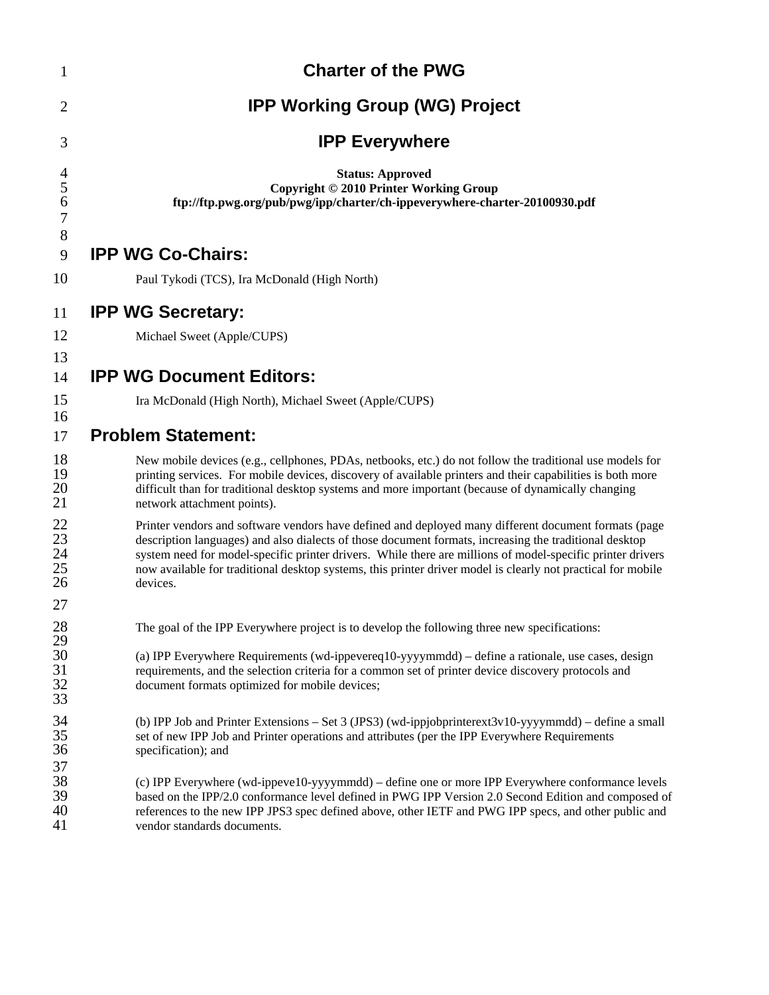| $\mathbf{1}$                                   | <b>Charter of the PWG</b>                                                                                                                                                                                                                                                                                                                                                                                                                                |
|------------------------------------------------|----------------------------------------------------------------------------------------------------------------------------------------------------------------------------------------------------------------------------------------------------------------------------------------------------------------------------------------------------------------------------------------------------------------------------------------------------------|
| $\overline{2}$                                 | <b>IPP Working Group (WG) Project</b>                                                                                                                                                                                                                                                                                                                                                                                                                    |
| 3                                              | <b>IPP Everywhere</b>                                                                                                                                                                                                                                                                                                                                                                                                                                    |
| $\frac{4}{5}$<br>6<br>$\overline{7}$           | <b>Status: Approved</b><br>Copyright © 2010 Printer Working Group<br>ftp://ftp.pwg.org/pub/pwg/ipp/charter/ch-ippeverywhere-charter-20100930.pdf                                                                                                                                                                                                                                                                                                         |
| 8<br>9                                         | <b>IPP WG Co-Chairs:</b>                                                                                                                                                                                                                                                                                                                                                                                                                                 |
| 10                                             | Paul Tykodi (TCS), Ira McDonald (High North)                                                                                                                                                                                                                                                                                                                                                                                                             |
| 11                                             | <b>IPP WG Secretary:</b>                                                                                                                                                                                                                                                                                                                                                                                                                                 |
| 12                                             | Michael Sweet (Apple/CUPS)                                                                                                                                                                                                                                                                                                                                                                                                                               |
| 13<br>14                                       | <b>IPP WG Document Editors:</b>                                                                                                                                                                                                                                                                                                                                                                                                                          |
| 15                                             | Ira McDonald (High North), Michael Sweet (Apple/CUPS)                                                                                                                                                                                                                                                                                                                                                                                                    |
| 16<br>17                                       | <b>Problem Statement:</b>                                                                                                                                                                                                                                                                                                                                                                                                                                |
| 18<br>19<br>20<br>21                           | New mobile devices (e.g., cellphones, PDAs, netbooks, etc.) do not follow the traditional use models for<br>printing services. For mobile devices, discovery of available printers and their capabilities is both more<br>difficult than for traditional desktop systems and more important (because of dynamically changing<br>network attachment points).                                                                                              |
| $\frac{22}{23}$<br>$\frac{23}{24}$<br>25<br>26 | Printer vendors and software vendors have defined and deployed many different document formats (page<br>description languages) and also dialects of those document formats, increasing the traditional desktop<br>system need for model-specific printer drivers. While there are millions of model-specific printer drivers<br>now available for traditional desktop systems, this printer driver model is clearly not practical for mobile<br>devices. |
| 27                                             |                                                                                                                                                                                                                                                                                                                                                                                                                                                          |
| 28<br>29<br>30<br>31<br>32<br>33               | The goal of the IPP Everywhere project is to develop the following three new specifications:<br>(a) IPP Everywhere Requirements (wd-ippevereq10-yyyymmdd) - define a rationale, use cases, design<br>requirements, and the selection criteria for a common set of printer device discovery protocols and<br>document formats optimized for mobile devices;                                                                                               |
| 34<br>35<br>36                                 | (b) IPP Job and Printer Extensions – Set 3 (JPS3) (wd-ippjobprinterext3v10-yyyymmdd) – define a small<br>set of new IPP Job and Printer operations and attributes (per the IPP Everywhere Requirements<br>specification); and                                                                                                                                                                                                                            |
| 37<br>38<br>39<br>40<br>41                     | (c) IPP Everywhere (wd-ippeve10-yyyymmdd) – define one or more IPP Everywhere conformance levels<br>based on the IPP/2.0 conformance level defined in PWG IPP Version 2.0 Second Edition and composed of<br>references to the new IPP JPS3 spec defined above, other IETF and PWG IPP specs, and other public and<br>vendor standards documents.                                                                                                         |